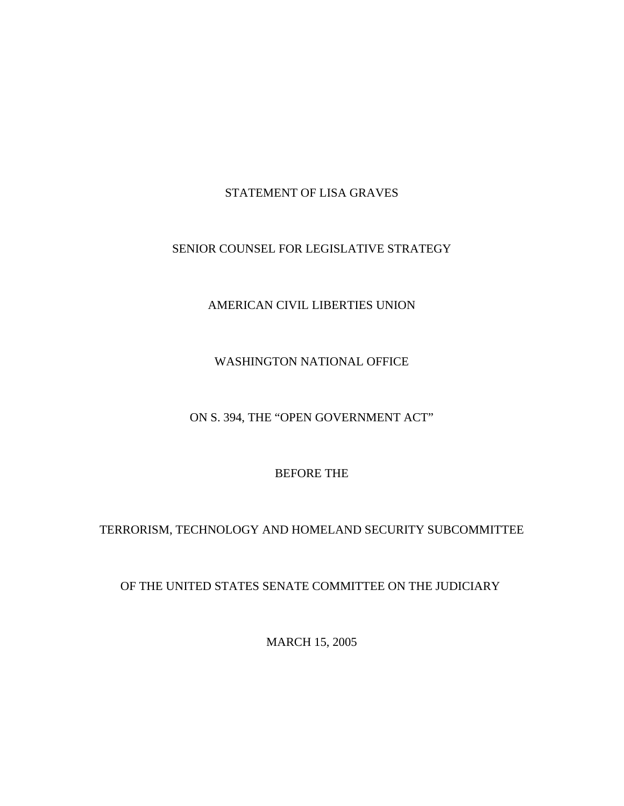## STATEMENT OF LISA GRAVES

## SENIOR COUNSEL FOR LEGISLATIVE STRATEGY

## AMERICAN CIVIL LIBERTIES UNION

## WASHINGTON NATIONAL OFFICE

## ON S. 394, THE "OPEN GOVERNMENT ACT"

## BEFORE THE

# TERRORISM, TECHNOLOGY AND HOMELAND SECURITY SUBCOMMITTEE

## OF THE UNITED STATES SENATE COMMITTEE ON THE JUDICIARY

MARCH 15, 2005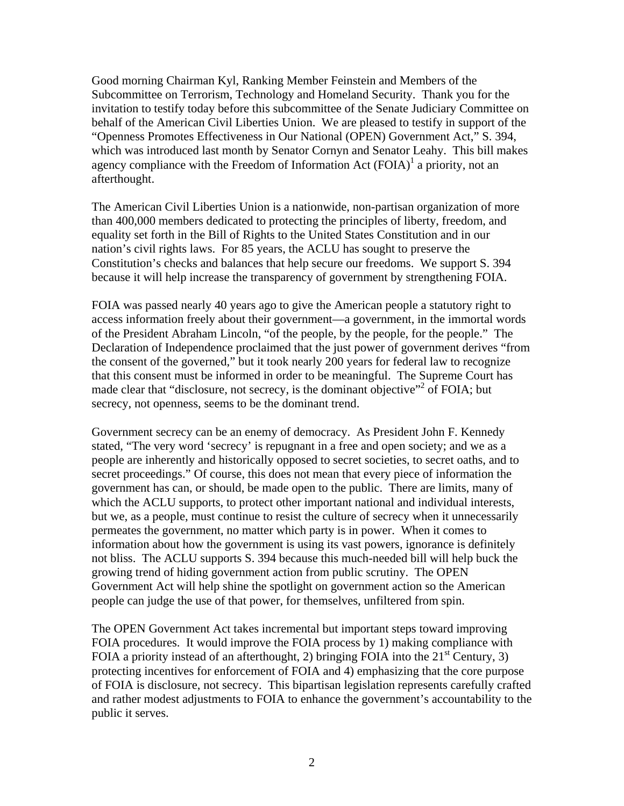Good morning Chairman Kyl, Ranking Member Feinstein and Members of the Subcommittee on Terrorism, Technology and Homeland Security. Thank you for the invitation to testify today before this subcommittee of the Senate Judiciary Committee on behalf of the American Civil Liberties Union. We are pleased to testify in support of the "Openness Promotes Effectiveness in Our National (OPEN) Government Act," S. 394, which was introduced last month by Senator Cornyn and Senator Leahy. This bill makes agency compliance with the Freedom of Information Act  $(FOIA)^{1}$  a priority, not an afterthought.

The American Civil Liberties Union is a nationwide, non-partisan organization of more than 400,000 members dedicated to protecting the principles of liberty, freedom, and equality set forth in the Bill of Rights to the United States Constitution and in our nation's civil rights laws. For 85 years, the ACLU has sought to preserve the Constitution's checks and balances that help secure our freedoms. We support S. 394 because it will help increase the transparency of government by strengthening FOIA.

FOIA was passed nearly 40 years ago to give the American people a statutory right to access information freely about their government—a government, in the immortal words of the President Abraham Lincoln, "of the people, by the people, for the people." The Declaration of Independence proclaimed that the just power of government derives "from the consent of the governed," but it took nearly 200 years for federal law to recognize that this consent must be informed in order to be meaningful. The Supreme Court has made clear that "disclosure, not secrecy, is the dominant objective"<sup>2</sup> of FOIA; but secrecy, not openness, seems to be the dominant trend.

Government secrecy can be an enemy of democracy. As President John F. Kennedy stated, "The very word 'secrecy' is repugnant in a free and open society; and we as a people are inherently and historically opposed to secret societies, to secret oaths, and to secret proceedings." Of course, this does not mean that every piece of information the government has can, or should, be made open to the public. There are limits, many of which the ACLU supports, to protect other important national and individual interests, but we, as a people, must continue to resist the culture of secrecy when it unnecessarily permeates the government, no matter which party is in power. When it comes to information about how the government is using its vast powers, ignorance is definitely not bliss. The ACLU supports S. 394 because this much-needed bill will help buck the growing trend of hiding government action from public scrutiny. The OPEN Government Act will help shine the spotlight on government action so the American people can judge the use of that power, for themselves, unfiltered from spin.

The OPEN Government Act takes incremental but important steps toward improving FOIA procedures. It would improve the FOIA process by 1) making compliance with FOIA a priority instead of an afterthought, 2) bringing FOIA into the  $21<sup>st</sup>$  Century, 3) protecting incentives for enforcement of FOIA and 4) emphasizing that the core purpose of FOIA is disclosure, not secrecy. This bipartisan legislation represents carefully crafted and rather modest adjustments to FOIA to enhance the government's accountability to the public it serves.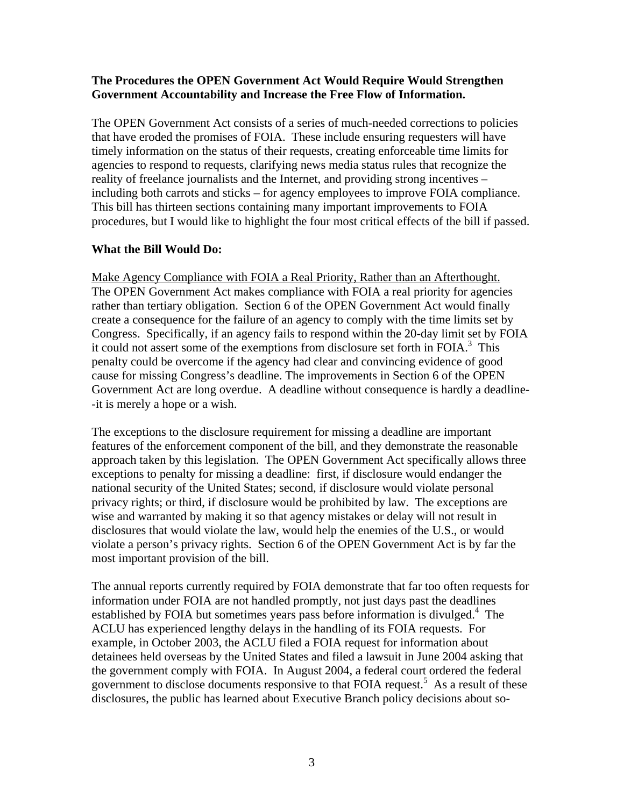#### **The Procedures the OPEN Government Act Would Require Would Strengthen Government Accountability and Increase the Free Flow of Information.**

The OPEN Government Act consists of a series of much-needed corrections to policies that have eroded the promises of FOIA. These include ensuring requesters will have timely information on the status of their requests, creating enforceable time limits for agencies to respond to requests, clarifying news media status rules that recognize the reality of freelance journalists and the Internet, and providing strong incentives – including both carrots and sticks – for agency employees to improve FOIA compliance. This bill has thirteen sections containing many important improvements to FOIA procedures, but I would like to highlight the four most critical effects of the bill if passed.

### **What the Bill Would Do:**

Make Agency Compliance with FOIA a Real Priority, Rather than an Afterthought. The OPEN Government Act makes compliance with FOIA a real priority for agencies rather than tertiary obligation. Section 6 of the OPEN Government Act would finally create a consequence for the failure of an agency to comply with the time limits set by Congress. Specifically, if an agency fails to respond within the 20-day limit set by FOIA it could not assert some of the exemptions from disclosure set forth in FOIA.<sup>3</sup> This penalty could be overcome if the agency had clear and convincing evidence of good cause for missing Congress's deadline. The improvements in Section 6 of the OPEN Government Act are long overdue. A deadline without consequence is hardly a deadline- -it is merely a hope or a wish.

The exceptions to the disclosure requirement for missing a deadline are important features of the enforcement component of the bill, and they demonstrate the reasonable approach taken by this legislation. The OPEN Government Act specifically allows three exceptions to penalty for missing a deadline: first, if disclosure would endanger the national security of the United States; second, if disclosure would violate personal privacy rights; or third, if disclosure would be prohibited by law. The exceptions are wise and warranted by making it so that agency mistakes or delay will not result in disclosures that would violate the law, would help the enemies of the U.S., or would violate a person's privacy rights. Section 6 of the OPEN Government Act is by far the most important provision of the bill.

The annual reports currently required by FOIA demonstrate that far too often requests for information under FOIA are not handled promptly, not just days past the deadlines established by FOIA but sometimes years pass before information is divulged.<sup>4</sup> The ACLU has experienced lengthy delays in the handling of its FOIA requests. For example, in October 2003, the ACLU filed a FOIA request for information about detainees held overseas by the United States and filed a lawsuit in June 2004 asking that the government comply with FOIA. In August 2004, a federal court ordered the federal government to disclose documents responsive to that FOIA request.<sup>5</sup> As a result of these disclosures, the public has learned about Executive Branch policy decisions about so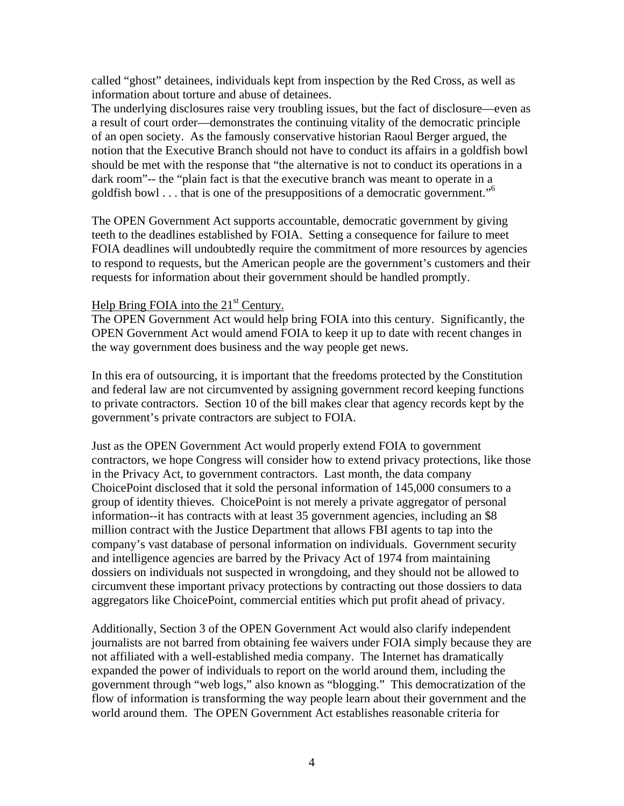called "ghost" detainees, individuals kept from inspection by the Red Cross, as well as information about torture and abuse of detainees.

The underlying disclosures raise very troubling issues, but the fact of disclosure—even as a result of court order—demonstrates the continuing vitality of the democratic principle of an open society. As the famously conservative historian Raoul Berger argued, the notion that the Executive Branch should not have to conduct its affairs in a goldfish bowl should be met with the response that "the alternative is not to conduct its operations in a dark room"-- the "plain fact is that the executive branch was meant to operate in a goldfish bowl . . . that is one of the presuppositions of a democratic government."6

The OPEN Government Act supports accountable, democratic government by giving teeth to the deadlines established by FOIA. Setting a consequence for failure to meet FOIA deadlines will undoubtedly require the commitment of more resources by agencies to respond to requests, but the American people are the government's customers and their requests for information about their government should be handled promptly.

#### Help Bring FOIA into the  $21<sup>st</sup>$  Century.

The OPEN Government Act would help bring FOIA into this century. Significantly, the OPEN Government Act would amend FOIA to keep it up to date with recent changes in the way government does business and the way people get news.

In this era of outsourcing, it is important that the freedoms protected by the Constitution and federal law are not circumvented by assigning government record keeping functions to private contractors. Section 10 of the bill makes clear that agency records kept by the government's private contractors are subject to FOIA.

Just as the OPEN Government Act would properly extend FOIA to government contractors, we hope Congress will consider how to extend privacy protections, like those in the Privacy Act, to government contractors. Last month, the data company ChoicePoint disclosed that it sold the personal information of 145,000 consumers to a group of identity thieves. ChoicePoint is not merely a private aggregator of personal information--it has contracts with at least 35 government agencies, including an \$8 million contract with the Justice Department that allows FBI agents to tap into the company's vast database of personal information on individuals. Government security and intelligence agencies are barred by the Privacy Act of 1974 from maintaining dossiers on individuals not suspected in wrongdoing, and they should not be allowed to circumvent these important privacy protections by contracting out those dossiers to data aggregators like ChoicePoint, commercial entities which put profit ahead of privacy.

Additionally, Section 3 of the OPEN Government Act would also clarify independent journalists are not barred from obtaining fee waivers under FOIA simply because they are not affiliated with a well-established media company. The Internet has dramatically expanded the power of individuals to report on the world around them, including the government through "web logs," also known as "blogging." This democratization of the flow of information is transforming the way people learn about their government and the world around them. The OPEN Government Act establishes reasonable criteria for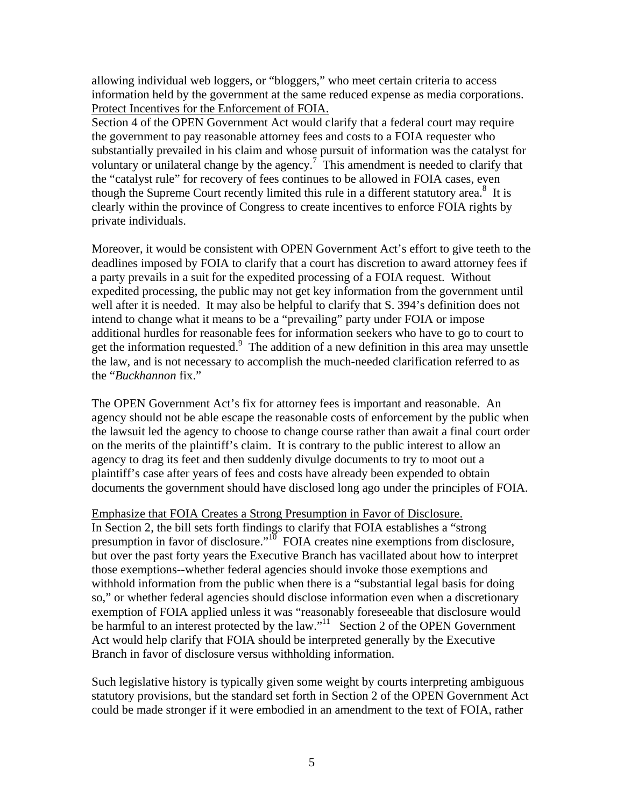allowing individual web loggers, or "bloggers," who meet certain criteria to access information held by the government at the same reduced expense as media corporations. Protect Incentives for the Enforcement of FOIA.

Section 4 of the OPEN Government Act would clarify that a federal court may require the government to pay reasonable attorney fees and costs to a FOIA requester who substantially prevailed in his claim and whose pursuit of information was the catalyst for voluntary or unilateral change by the agency.<sup>7</sup> This amendment is needed to clarify that the "catalyst rule" for recovery of fees continues to be allowed in FOIA cases, even though the Supreme Court recently limited this rule in a different statutory area.<sup>8</sup> It is clearly within the province of Congress to create incentives to enforce FOIA rights by private individuals.

Moreover, it would be consistent with OPEN Government Act's effort to give teeth to the deadlines imposed by FOIA to clarify that a court has discretion to award attorney fees if a party prevails in a suit for the expedited processing of a FOIA request. Without expedited processing, the public may not get key information from the government until well after it is needed. It may also be helpful to clarify that S. 394's definition does not intend to change what it means to be a "prevailing" party under FOIA or impose additional hurdles for reasonable fees for information seekers who have to go to court to get the information requested.<sup>9</sup> The addition of a new definition in this area may unsettle the law, and is not necessary to accomplish the much-needed clarification referred to as the "*Buckhannon* fix."

The OPEN Government Act's fix for attorney fees is important and reasonable. An agency should not be able escape the reasonable costs of enforcement by the public when the lawsuit led the agency to choose to change course rather than await a final court order on the merits of the plaintiff's claim. It is contrary to the public interest to allow an agency to drag its feet and then suddenly divulge documents to try to moot out a plaintiff's case after years of fees and costs have already been expended to obtain documents the government should have disclosed long ago under the principles of FOIA.

#### Emphasize that FOIA Creates a Strong Presumption in Favor of Disclosure.

In Section 2, the bill sets forth findings to clarify that FOIA establishes a "strong presumption in favor of disclosure."<sup>10</sup> FOIA creates nine exemptions from disclosure, but over the past forty years the Executive Branch has vacillated about how to interpret those exemptions--whether federal agencies should invoke those exemptions and withhold information from the public when there is a "substantial legal basis for doing so," or whether federal agencies should disclose information even when a discretionary exemption of FOIA applied unless it was "reasonably foreseeable that disclosure would be harmful to an interest protected by the law."<sup>11</sup> Section 2 of the OPEN Government Act would help clarify that FOIA should be interpreted generally by the Executive Branch in favor of disclosure versus withholding information.

Such legislative history is typically given some weight by courts interpreting ambiguous statutory provisions, but the standard set forth in Section 2 of the OPEN Government Act could be made stronger if it were embodied in an amendment to the text of FOIA, rather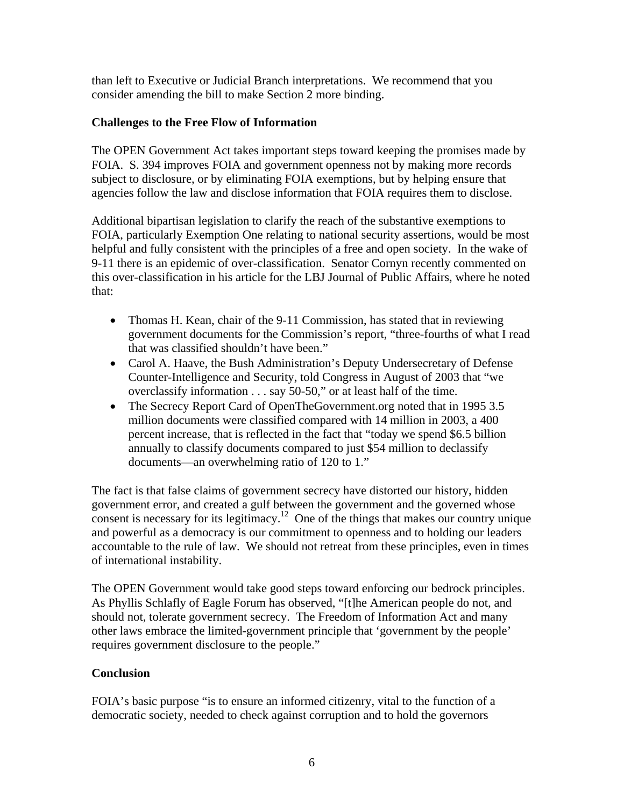than left to Executive or Judicial Branch interpretations. We recommend that you consider amending the bill to make Section 2 more binding.

## **Challenges to the Free Flow of Information**

The OPEN Government Act takes important steps toward keeping the promises made by FOIA. S. 394 improves FOIA and government openness not by making more records subject to disclosure, or by eliminating FOIA exemptions, but by helping ensure that agencies follow the law and disclose information that FOIA requires them to disclose.

Additional bipartisan legislation to clarify the reach of the substantive exemptions to FOIA, particularly Exemption One relating to national security assertions, would be most helpful and fully consistent with the principles of a free and open society. In the wake of 9-11 there is an epidemic of over-classification. Senator Cornyn recently commented on this over-classification in his article for the LBJ Journal of Public Affairs, where he noted that:

- Thomas H. Kean, chair of the 9-11 Commission, has stated that in reviewing government documents for the Commission's report, "three-fourths of what I read that was classified shouldn't have been."
- Carol A. Haave, the Bush Administration's Deputy Undersecretary of Defense Counter-Intelligence and Security, told Congress in August of 2003 that "we overclassify information . . . say 50-50," or at least half of the time.
- The Secrecy Report Card of OpenTheGovernment.org noted that in 1995 3.5 million documents were classified compared with 14 million in 2003, a 400 percent increase, that is reflected in the fact that "today we spend \$6.5 billion annually to classify documents compared to just \$54 million to declassify documents—an overwhelming ratio of 120 to 1."

The fact is that false claims of government secrecy have distorted our history, hidden government error, and created a gulf between the government and the governed whose consent is necessary for its legitimacy.<sup>12</sup> One of the things that makes our country unique and powerful as a democracy is our commitment to openness and to holding our leaders accountable to the rule of law. We should not retreat from these principles, even in times of international instability.

The OPEN Government would take good steps toward enforcing our bedrock principles. As Phyllis Schlafly of Eagle Forum has observed, "[t]he American people do not, and should not, tolerate government secrecy. The Freedom of Information Act and many other laws embrace the limited-government principle that 'government by the people' requires government disclosure to the people."

# **Conclusion**

FOIA's basic purpose "is to ensure an informed citizenry, vital to the function of a democratic society, needed to check against corruption and to hold the governors